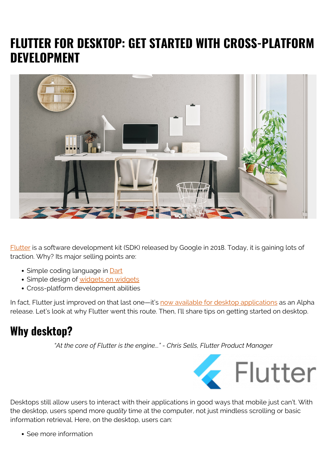# **FLUTTER FOR DESKTOP: GET STARTED WITH CROSS-PLATFORM DEVELOPMENT**



[Flutter](https://blogs.bmc.com/blogs/flutter-basics/) is a software development kit (SDK) released by Google in 2018. Today, it is gaining lots of traction. Why? Its major selling points are:

- Simple coding language in **[Dart](https://dart.dev/)**
- Simple design of [widgets on widgets](https://flutter.dev/docs/development/ui/widgets-intro)
- Cross-platform development abilities

In fact, Flutter just improved on that last one—it's [now available for desktop applications](https://flutter.dev/desktop) as an Alpha release. Let's look at why Flutter went this route. Then, I'll share tips on getting started on desktop.

## **Why desktop?**

*"At the core of Flutter is the engine..." - Chris Sells, Flutter Product Manager*



Desktops still allow users to interact with their applications in good ways that mobile just can't. With the desktop, users spend more *quality* time at the computer, not just mindless scrolling or basic information retrieval. Here, on the desktop, users can:

• See more information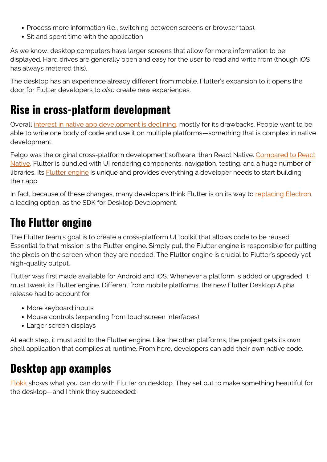- Process more information (i.e., switching between screens or browser tabs).
- Sit and spent time with the application

As we know, desktop computers have larger screens that allow for more information to be displayed. Hard drives are generally open and easy for the user to read and write from (though iOS has always metered this).

The desktop has an experience already different from mobile. Flutter's expansion to it opens the door for Flutter developers to *also* create new experiences.

### **Rise in cross-platform development**

Overall [interest in native app development is declining,](https://www.forbes.com/sites/victoriacollins/2019/04/05/why-you-dont-need-to-make-an-app-a-guide-for-startups-who-want-to-make-an-app/#2d9fab776e63) mostly for its drawbacks. People want to be able to write one body of code and use it on multiple platforms—something that is complex in native development.

Felgo was the original cross-platform development software, then React Native. [Compared to React](https://nevercode.io/blog/flutter-vs-react-native-a-developers-perspective/) [Native,](https://nevercode.io/blog/flutter-vs-react-native-a-developers-perspective/) Flutter is bundled with UI rendering components, navigation, testing, and a huge number of libraries. Its **Flutter engine** is unique and provides everything a developer needs to start building their app.

In fact, because of these changes, many developers think Flutter is on its way to [replacing Electron,](https://www.reddit.com/r/FlutterDev/comments/azfymb/will_flutter_replace_electron_will_there_finally/) a leading option, as the SDK for Desktop Development.

## **The Flutter engine**

The Flutter team's goal is to create a cross-platform UI toolkit that allows code to be reused. Essential to that mission is the Flutter engine. Simply put, the Flutter engine is responsible for putting the pixels on the screen when they are needed. The Flutter engine is crucial to Flutter's speedy yet high-quality output.

Flutter was first made available for Android and iOS. Whenever a platform is added or upgraded, it must tweak its Flutter engine. Different from mobile platforms, the new Flutter Desktop Alpha release had to account for

- More keyboard inputs
- Mouse controls (expanding from touchscreen interfaces)
- Larger screen displays

At each step, it must add to the Flutter engine. Like the other platforms, the project gets its own shell application that compiles at runtime. From here, developers can add their own native code.

### **Desktop app examples**

[Flokk](https://blog.gskinner.com/archives/2020/09/flokk-how-we-built-a-desktop-app-using-flutter.html) shows what you can do with Flutter on desktop. They set out to make something beautiful for the desktop—and I think they succeeded: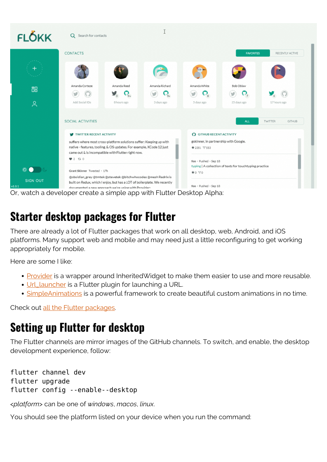| <b>FLOKK</b>              | Q Search for contacts                                                                                                                                                                                                        |                                             |                |                                                                                           |                   |                                 |
|---------------------------|------------------------------------------------------------------------------------------------------------------------------------------------------------------------------------------------------------------------------|---------------------------------------------|----------------|-------------------------------------------------------------------------------------------|-------------------|---------------------------------|
|                           | <b>CONTACTS</b>                                                                                                                                                                                                              |                                             |                |                                                                                           | <b>FAVORITES</b>  | RECENTLY ACTIVE                 |
|                           |                                                                                                                                                                                                                              |                                             |                |                                                                                           |                   |                                 |
| 品                         | Amanda Corteze                                                                                                                                                                                                               | Amanda Reed                                 | Amanda Richard | Amanda White                                                                              | Bob Oblaw         |                                 |
| $\approx$                 | Add Social IDs                                                                                                                                                                                                               | У,<br>$\mathbf{G}^{\dagger}$<br>8 hours ago | 3 days ago     | 5 days ago                                                                                | Ω,<br>25 days ago | 17 hours ago                    |
|                           | SOCIAL ACTIVITIES                                                                                                                                                                                                            |                                             |                |                                                                                           | <b>ALL</b>        | <b>TWITTER</b><br><b>GITHUB</b> |
|                           | TWITTER RECENT ACTIVITY<br>suffers where most cross-platform solutions suffer: Keeping up with<br>native - features, tooling, & OS updates. For example, XCode 12 just<br>came out & is incompatible with Flutter right now. |                                             |                | <b>O</b> GITHUB RECENT ACTIVITY<br>gskinner, in partnership with Google.<br>★ 2351 ヤ 553  |                   |                                 |
|                           |                                                                                                                                                                                                                              |                                             |                |                                                                                           |                   |                                 |
|                           | 9200<br>Grant Skinner Tweeted · 17h                                                                                                                                                                                          |                                             |                | foo · Pushed · Sep 18<br>typing   A collection of texts for touchtyping practice<br>★0 90 |                   |                                 |
| * ● 10                    |                                                                                                                                                                                                                              |                                             |                |                                                                                           |                   |                                 |
| <b>SIGN OUT</b><br>v1.0.1 | @obsidian_grey @tmtek @stevetek @bitchwhocodes @mesh Redrix is<br>built on Redux, which I enjoy, but has a LOT of boilerplate. We recently<br>documented a new approach we're using with Provider:                           |                                             |                | foo · Pushed · Sep 18                                                                     |                   |                                 |

Or, watch a developer create a simple app with Flutter Desktop Alpha:

#### **Starter desktop packages for Flutter**

There are already a lot of Flutter packages that work on all desktop, web, Android, and iOS platforms. Many support web and mobile and may need just a little reconfiguring to get working appropriately for mobile.

Here are some I like:

- [Provider](https://pub.dev/packages/provider) is a wrapper around InheritedWidget to make them easier to use and more reusable.
- [Url\\_launcher](https://pub.dev/packages/url_launcher) is a Flutter plugin for launching a URL.
- [SimpleAnimations](https://pub.dev/packages/simple_animations) is a powerful framework to create beautiful custom animations in no time.

Check out [all the Flutter packages](https://pub.dev/flutter/packages?platform=windows).

### **Setting up Flutter for desktop**

The Flutter channels are mirror images of the GitHub channels. To switch, and enable, the desktop development experience, follow:

flutter channel dev flutter upgrade flutter config --enable--desktop

<*platform*> can be one of *windows*, *macos*, *linux*.

You should see the platform listed on your device when you run the command: